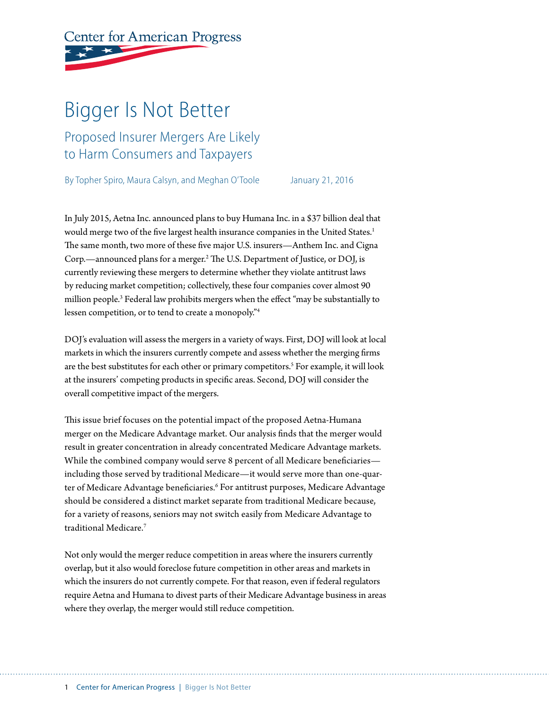# **Center for American Progress**

# Bigger Is Not Better

Proposed Insurer Mergers Are Likely to Harm Consumers and Taxpayers

By Topher Spiro, Maura Calsyn, and Meghan O'Toole January 21, 2016

In July 2015, Aetna Inc. announced plans to buy Humana Inc. in a \$37 billion deal that would merge two of the five largest health insurance companies in the United States.<sup>1</sup> The same month, two more of these five major U.S. insurers—Anthem Inc. and Cigna Corp.—announced plans for a merger.2 The U.S. Department of Justice, or DOJ, is currently reviewing these mergers to determine whether they violate antitrust laws by reducing market competition; collectively, these four companies cover almost 90 million people.<sup>3</sup> Federal law prohibits mergers when the effect "may be substantially to lessen competition, or to tend to create a monopoly."4

DOJ's evaluation will assess the mergers in a variety of ways. First, DOJ will look at local markets in which the insurers currently compete and assess whether the merging firms are the best substitutes for each other or primary competitors.<sup>5</sup> For example, it will look at the insurers' competing products in specific areas. Second, DOJ will consider the overall competitive impact of the mergers.

This issue brief focuses on the potential impact of the proposed Aetna-Humana merger on the Medicare Advantage market. Our analysis finds that the merger would result in greater concentration in already concentrated Medicare Advantage markets. While the combined company would serve 8 percent of all Medicare beneficiaries including those served by traditional Medicare—it would serve more than one-quarter of Medicare Advantage beneficiaries.<sup>6</sup> For antitrust purposes, Medicare Advantage should be considered a distinct market separate from traditional Medicare because, for a variety of reasons, seniors may not switch easily from Medicare Advantage to traditional Medicare.7

Not only would the merger reduce competition in areas where the insurers currently overlap, but it also would foreclose future competition in other areas and markets in which the insurers do not currently compete. For that reason, even if federal regulators require Aetna and Humana to divest parts of their Medicare Advantage business in areas where they overlap, the merger would still reduce competition.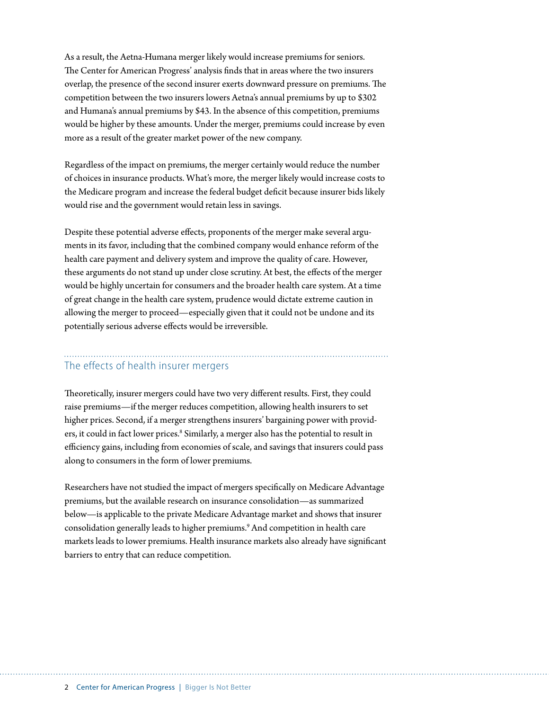As a result, the Aetna-Humana merger likely would increase premiums for seniors. The Center for American Progress' analysis finds that in areas where the two insurers overlap, the presence of the second insurer exerts downward pressure on premiums. The competition between the two insurers lowers Aetna's annual premiums by up to \$302 and Humana's annual premiums by \$43. In the absence of this competition, premiums would be higher by these amounts. Under the merger, premiums could increase by even more as a result of the greater market power of the new company.

Regardless of the impact on premiums, the merger certainly would reduce the number of choices in insurance products. What's more, the merger likely would increase costs to the Medicare program and increase the federal budget deficit because insurer bids likely would rise and the government would retain less in savings.

Despite these potential adverse effects, proponents of the merger make several arguments in its favor, including that the combined company would enhance reform of the health care payment and delivery system and improve the quality of care. However, these arguments do not stand up under close scrutiny. At best, the effects of the merger would be highly uncertain for consumers and the broader health care system. At a time of great change in the health care system, prudence would dictate extreme caution in allowing the merger to proceed—especially given that it could not be undone and its potentially serious adverse effects would be irreversible.

# The effects of health insurer mergers

Theoretically, insurer mergers could have two very different results. First, they could raise premiums—if the merger reduces competition, allowing health insurers to set higher prices. Second, if a merger strengthens insurers' bargaining power with providers, it could in fact lower prices.<sup>8</sup> Similarly, a merger also has the potential to result in efficiency gains, including from economies of scale, and savings that insurers could pass along to consumers in the form of lower premiums.

Researchers have not studied the impact of mergers specifically on Medicare Advantage premiums, but the available research on insurance consolidation—as summarized below—is applicable to the private Medicare Advantage market and shows that insurer consolidation generally leads to higher premiums.9 And competition in health care markets leads to lower premiums. Health insurance markets also already have significant barriers to entry that can reduce competition.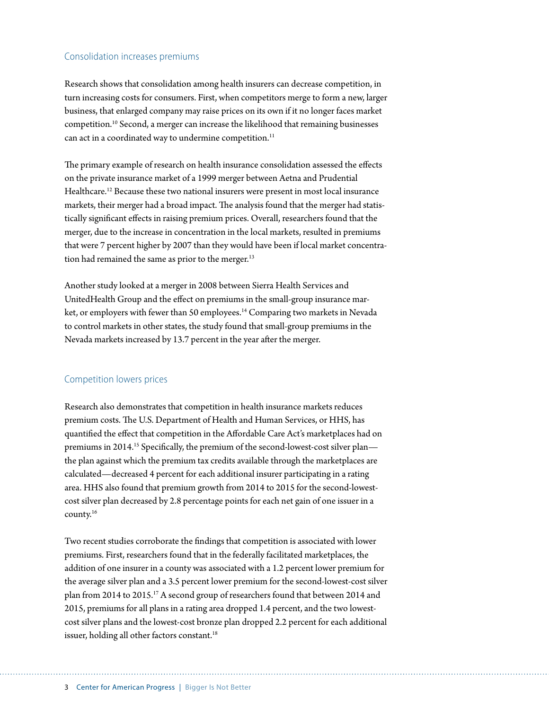# Consolidation increases premiums

Research shows that consolidation among health insurers can decrease competition, in turn increasing costs for consumers. First, when competitors merge to form a new, larger business, that enlarged company may raise prices on its own if it no longer faces market competition.10 Second, a merger can increase the likelihood that remaining businesses can act in a coordinated way to undermine competition.<sup>11</sup>

The primary example of research on health insurance consolidation assessed the effects on the private insurance market of a 1999 merger between Aetna and Prudential Healthcare.<sup>12</sup> Because these two national insurers were present in most local insurance markets, their merger had a broad impact. The analysis found that the merger had statistically significant effects in raising premium prices. Overall, researchers found that the merger, due to the increase in concentration in the local markets, resulted in premiums that were 7 percent higher by 2007 than they would have been if local market concentration had remained the same as prior to the merger.<sup>13</sup>

Another study looked at a merger in 2008 between Sierra Health Services and UnitedHealth Group and the effect on premiums in the small-group insurance market, or employers with fewer than 50 employees.<sup>14</sup> Comparing two markets in Nevada to control markets in other states, the study found that small-group premiums in the Nevada markets increased by 13.7 percent in the year after the merger.

# Competition lowers prices

Research also demonstrates that competition in health insurance markets reduces premium costs. The U.S. Department of Health and Human Services, or HHS, has quantified the effect that competition in the Affordable Care Act's marketplaces had on premiums in 2014.<sup>15</sup> Specifically, the premium of the second-lowest-cost silver plan the plan against which the premium tax credits available through the marketplaces are calculated—decreased 4 percent for each additional insurer participating in a rating area. HHS also found that premium growth from 2014 to 2015 for the second-lowestcost silver plan decreased by 2.8 percentage points for each net gain of one issuer in a county.16

Two recent studies corroborate the findings that competition is associated with lower premiums. First, researchers found that in the federally facilitated marketplaces, the addition of one insurer in a county was associated with a 1.2 percent lower premium for the average silver plan and a 3.5 percent lower premium for the second-lowest-cost silver plan from 2014 to 2015.17 A second group of researchers found that between 2014 and 2015, premiums for all plans in a rating area dropped 1.4 percent, and the two lowestcost silver plans and the lowest-cost bronze plan dropped 2.2 percent for each additional issuer, holding all other factors constant.<sup>18</sup>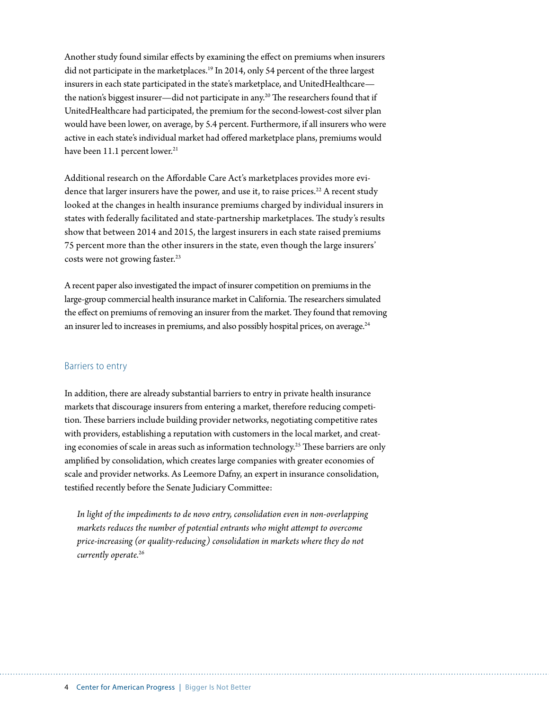Another study found similar effects by examining the effect on premiums when insurers did not participate in the marketplaces.<sup>19</sup> In 2014, only 54 percent of the three largest insurers in each state participated in the state's marketplace, and UnitedHealthcare the nation's biggest insurer—did not participate in any.<sup>20</sup> The researchers found that if UnitedHealthcare had participated, the premium for the second-lowest-cost silver plan would have been lower, on average, by 5.4 percent. Furthermore, if all insurers who were active in each state's individual market had offered marketplace plans, premiums would have been 11.1 percent lower.<sup>21</sup>

Additional research on the Affordable Care Act's marketplaces provides more evidence that larger insurers have the power, and use it, to raise prices.<sup>22</sup> A recent study looked at the changes in health insurance premiums charged by individual insurers in states with federally facilitated and state-partnership marketplaces. The study's results show that between 2014 and 2015, the largest insurers in each state raised premiums 75 percent more than the other insurers in the state, even though the large insurers' costs were not growing faster.<sup>23</sup>

A recent paper also investigated the impact of insurer competition on premiums in the large-group commercial health insurance market in California. The researchers simulated the effect on premiums of removing an insurer from the market. They found that removing an insurer led to increases in premiums, and also possibly hospital prices, on average.<sup>24</sup>

### Barriers to entry

In addition, there are already substantial barriers to entry in private health insurance markets that discourage insurers from entering a market, therefore reducing competition. These barriers include building provider networks, negotiating competitive rates with providers, establishing a reputation with customers in the local market, and creating economies of scale in areas such as information technology.25 These barriers are only amplified by consolidation, which creates large companies with greater economies of scale and provider networks. As Leemore Dafny, an expert in insurance consolidation, testified recently before the Senate Judiciary Committee:

*In light of the impediments to de novo entry, consolidation even in non-overlapping markets reduces the number of potential entrants who might attempt to overcome price-increasing (or quality-reducing) consolidation in markets where they do not currently operate.*26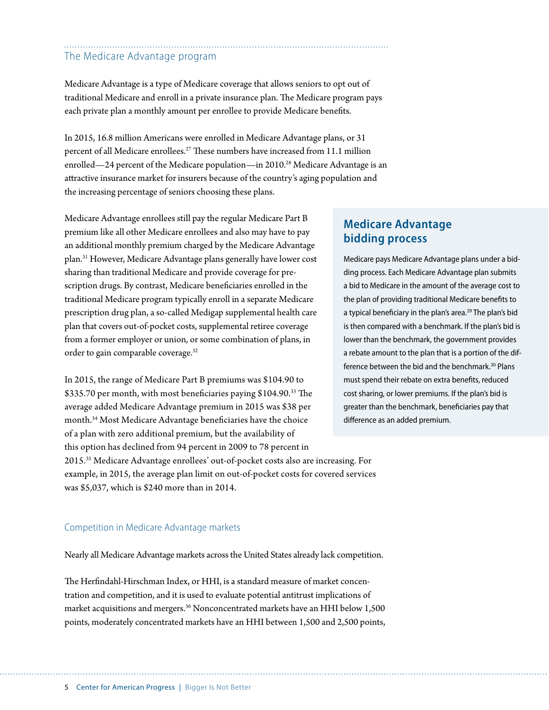# The Medicare Advantage program

Medicare Advantage is a type of Medicare coverage that allows seniors to opt out of traditional Medicare and enroll in a private insurance plan. The Medicare program pays each private plan a monthly amount per enrollee to provide Medicare benefits.

In 2015, 16.8 million Americans were enrolled in Medicare Advantage plans, or 31 percent of all Medicare enrollees.<sup>27</sup> These numbers have increased from 11.1 million enrolled—24 percent of the Medicare population—in 2010.<sup>28</sup> Medicare Advantage is an attractive insurance market for insurers because of the country's aging population and the increasing percentage of seniors choosing these plans.

Medicare Advantage enrollees still pay the regular Medicare Part B premium like all other Medicare enrollees and also may have to pay an additional monthly premium charged by the Medicare Advantage plan.31 However, Medicare Advantage plans generally have lower cost sharing than traditional Medicare and provide coverage for prescription drugs. By contrast, Medicare beneficiaries enrolled in the traditional Medicare program typically enroll in a separate Medicare prescription drug plan, a so-called Medigap supplemental health care plan that covers out-of-pocket costs, supplemental retiree coverage from a former employer or union, or some combination of plans, in order to gain comparable coverage.<sup>32</sup>

In 2015, the range of Medicare Part B premiums was \$104.90 to \$335.70 per month, with most beneficiaries paying \$104.90.33 The average added Medicare Advantage premium in 2015 was \$38 per month.34 Most Medicare Advantage beneficiaries have the choice of a plan with zero additional premium, but the availability of this option has declined from 94 percent in 2009 to 78 percent in 2015.35 Medicare Advantage enrollees' out-of-pocket costs also are increasing. For example, in 2015, the average plan limit on out-of-pocket costs for covered services was \$5,037, which is \$240 more than in 2014.

# **Medicare Advantage bidding process**

Medicare pays Medicare Advantage plans under a bidding process. Each Medicare Advantage plan submits a bid to Medicare in the amount of the average cost to the plan of providing traditional Medicare benefits to a typical beneficiary in the plan's area.<sup>29</sup> The plan's bid is then compared with a benchmark. If the plan's bid is lower than the benchmark, the government provides a rebate amount to the plan that is a portion of the difference between the bid and the benchmark.<sup>30</sup> Plans must spend their rebate on extra benefits, reduced cost sharing, or lower premiums. If the plan's bid is greater than the benchmark, beneficiaries pay that difference as an added premium.

# Competition in Medicare Advantage markets

Nearly all Medicare Advantage markets across the United States already lack competition.

The Herfindahl-Hirschman Index, or HHI, is a standard measure of market concentration and competition, and it is used to evaluate potential antitrust implications of market acquisitions and mergers.36 Nonconcentrated markets have an HHI below 1,500 points, moderately concentrated markets have an HHI between 1,500 and 2,500 points,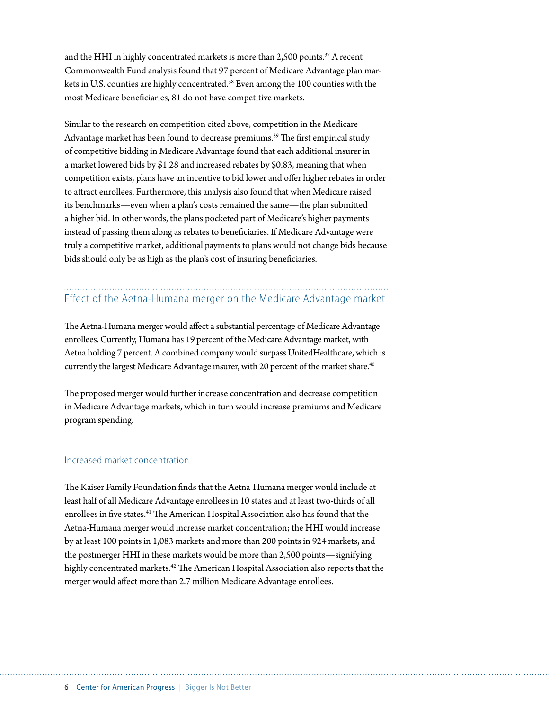and the HHI in highly concentrated markets is more than 2,500 points.<sup>37</sup> A recent Commonwealth Fund analysis found that 97 percent of Medicare Advantage plan markets in U.S. counties are highly concentrated.<sup>38</sup> Even among the 100 counties with the most Medicare beneficiaries, 81 do not have competitive markets.

Similar to the research on competition cited above, competition in the Medicare Advantage market has been found to decrease premiums.<sup>39</sup> The first empirical study of competitive bidding in Medicare Advantage found that each additional insurer in a market lowered bids by \$1.28 and increased rebates by \$0.83, meaning that when competition exists, plans have an incentive to bid lower and offer higher rebates in order to attract enrollees. Furthermore, this analysis also found that when Medicare raised its benchmarks—even when a plan's costs remained the same—the plan submitted a higher bid. In other words, the plans pocketed part of Medicare's higher payments instead of passing them along as rebates to beneficiaries. If Medicare Advantage were truly a competitive market, additional payments to plans would not change bids because bids should only be as high as the plan's cost of insuring beneficiaries.

# Effect of the Aetna-Humana merger on the Medicare Advantage market

The Aetna-Humana merger would affect a substantial percentage of Medicare Advantage enrollees. Currently, Humana has 19 percent of the Medicare Advantage market, with Aetna holding 7 percent. A combined company would surpass UnitedHealthcare, which is currently the largest Medicare Advantage insurer, with 20 percent of the market share.<sup>40</sup>

The proposed merger would further increase concentration and decrease competition in Medicare Advantage markets, which in turn would increase premiums and Medicare program spending.

### Increased market concentration

The Kaiser Family Foundation finds that the Aetna-Humana merger would include at least half of all Medicare Advantage enrollees in 10 states and at least two-thirds of all enrollees in five states.41 The American Hospital Association also has found that the Aetna-Humana merger would increase market concentration; the HHI would increase by at least 100 points in 1,083 markets and more than 200 points in 924 markets, and the postmerger HHI in these markets would be more than 2,500 points—signifying highly concentrated markets.<sup>42</sup> The American Hospital Association also reports that the merger would affect more than 2.7 million Medicare Advantage enrollees.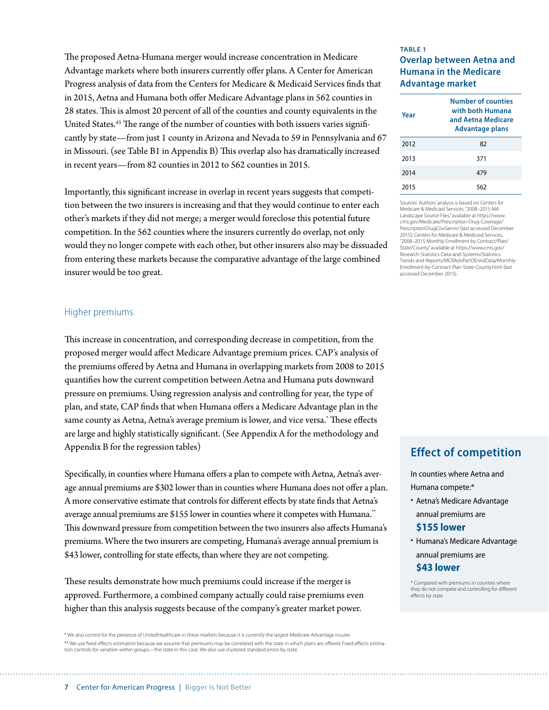The proposed Aetna-Humana merger would increase concentration in Medicare Advantage markets where both insurers currently offer plans. A Center for American Progress analysis of data from the Centers for Medicare & Medicaid Services finds that in 2015, Aetna and Humana both offer Medicare Advantage plans in 562 counties in 28 states. This is almost 20 percent of all of the counties and county equivalents in the United States.<sup>43</sup> The range of the number of counties with both issuers varies significantly by state—from just 1 county in Arizona and Nevada to 59 in Pennsylvania and 67 in Missouri. (see Table B1 in Appendix B) This overlap also has dramatically increased in recent years—from 82 counties in 2012 to 562 counties in 2015.

Importantly, this significant increase in overlap in recent years suggests that competition between the two insurers is increasing and that they would continue to enter each other's markets if they did not merge; a merger would foreclose this potential future competition. In the 562 counties where the insurers currently do overlap, not only would they no longer compete with each other, but other insurers also may be dissuaded from entering these markets because the comparative advantage of the large combined insurer would be too great.

#### Higher premiums

This increase in concentration, and corresponding decrease in competition, from the proposed merger would affect Medicare Advantage premium prices. CAP's analysis of the premiums offered by Aetna and Humana in overlapping markets from 2008 to 2015 quantifies how the current competition between Aetna and Humana puts downward pressure on premiums. Using regression analysis and controlling for year, the type of plan, and state, CAP finds that when Humana offers a Medicare Advantage plan in the same county as Aetna, Aetna's average premium is lower, and vice versa.\* These effects are large and highly statistically significant. (See Appendix A for the methodology and Appendix B for the regression tables)

Specifically, in counties where Humana offers a plan to compete with Aetna, Aetna's average annual premiums are \$302 lower than in counties where Humana does not offer a plan. A more conservative estimate that controls for different effects by state finds that Aetna's average annual premiums are \$155 lower in counties where it competes with Humana.<sup>\*\*</sup> This downward pressure from competition between the two insurers also affects Humana's premiums. Where the two insurers are competing, Humana's average annual premium is \$43 lower, controlling for state effects, than where they are not competing.

These results demonstrate how much premiums could increase if the merger is approved. Furthermore, a combined company actually could raise premiums even higher than this analysis suggests because of the company's greater market power.

\* We also control for the presence of UnitedHealthcare in these markets because it is currently the largest Medicare Advantage insurer. \*\* We use fixed effects estimation because we assume that premiums may be correlated with the state in which plans are offered. Fixed effects estimation controls for variation within groups—the state in this case. We also use clustered standard errors by state.

### **TABLE 1 Overlap between Aetna and Humana in the Medicare Advantage market**

| Year | Number of counties<br>with both Humana<br>and Aetna Medicare<br><b>Advantage plans</b> |  |  |
|------|----------------------------------------------------------------------------------------|--|--|
| 2012 | 82                                                                                     |  |  |
| 2013 | 371                                                                                    |  |  |
| 2014 | 479                                                                                    |  |  |
| 2015 | 562                                                                                    |  |  |

Sources: Authors' analysis is based on Centers for Medicare & Medicaid Services, "2008–2015 MA Landscape Source Files," available at https://www. cms.gov/Medicare/Prescription-Drug-Coverage/ PrescriptionDrugCovGenin/ (last accessed December 2015); Centers for Medicare & Medicaid Services, "2008–2015 Monthly Enrollment by Contract/Plan/ State/County," available at https://www.cms.gov/ Research-Statistics-Data-and-Systems/Statistics-Trends-and-Reports/MCRAdvPartDEnrolData/Monthly-Enrollment-by-Contract-Plan-State-County.html (last accessed December 2015).

# **Effect of competition**

In counties where Aetna and Humana compete:\*

• Aetna's Medicare Advantage annual premiums are

# **\$155 lower**

• Humana's Medicare Advantage annual premiums are

# **\$43 lower**

\* Compared with premiums in counties where they do not compete and controlling for different effects by state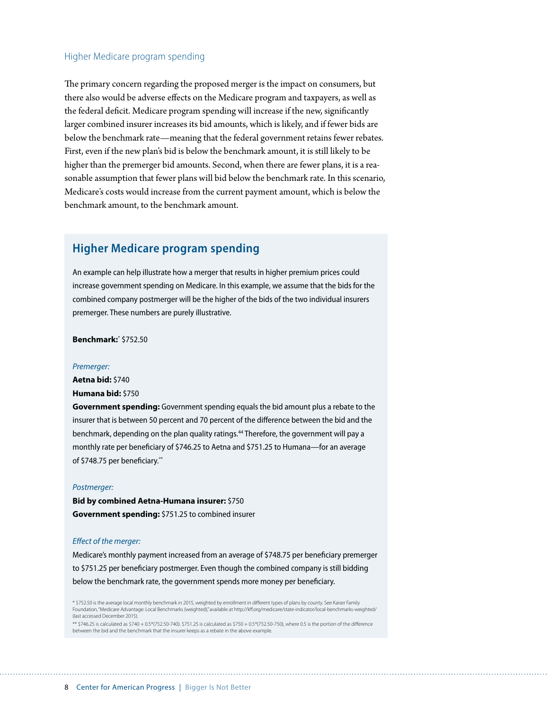### Higher Medicare program spending

The primary concern regarding the proposed merger is the impact on consumers, but there also would be adverse effects on the Medicare program and taxpayers, as well as the federal deficit. Medicare program spending will increase if the new, significantly larger combined insurer increases its bid amounts, which is likely, and if fewer bids are below the benchmark rate—meaning that the federal government retains fewer rebates. First, even if the new plan's bid is below the benchmark amount, it is still likely to be higher than the premerger bid amounts. Second, when there are fewer plans, it is a reasonable assumption that fewer plans will bid below the benchmark rate. In this scenario, Medicare's costs would increase from the current payment amount, which is below the benchmark amount, to the benchmark amount.

# **Higher Medicare program spending**

An example can help illustrate how a merger that results in higher premium prices could increase government spending on Medicare. In this example, we assume that the bids for the combined company postmerger will be the higher of the bids of the two individual insurers premerger. These numbers are purely illustrative.

**Benchmark:**\* \$752.50

#### *Premerger:*

**Aetna bid:** \$740

**Humana bid:** \$750

**Government spending:** Government spending equals the bid amount plus a rebate to the insurer that is between 50 percent and 70 percent of the difference between the bid and the benchmark, depending on the plan quality ratings.<sup>44</sup> Therefore, the government will pay a monthly rate per beneficiary of \$746.25 to Aetna and \$751.25 to Humana—for an average of \$748.75 per beneficiary.\*\*

#### *Postmerger:*

**Bid by combined Aetna-Humana insurer:** \$750 **Government spending:** \$751.25 to combined insurer

#### *Effect of the merger:*

Medicare's monthly payment increased from an average of \$748.75 per beneficiary premerger to \$751.25 per beneficiary postmerger. Even though the combined company is still bidding below the benchmark rate, the government spends more money per beneficiary.

\* \$752.50 is the average local monthly benchmark in 2015, weighted by enrollment in different types of plans by county. See Kaiser Family Foundation, "Medicare Advantage: Local Benchmarks (weighted)," available at<http://kff.org/medicare/state-indicator/local-benchmarks-weighted/> (last accessed December 2015).

\*\* \$746.25 is calculated as \$740 + 0.5\*(752.50-740). \$751.25 is calculated as \$750 + 0.5\*(752.50-750), where 0.5 is the portion of the difference between the bid and the benchmark that the insurer keeps as a rebate in the above example.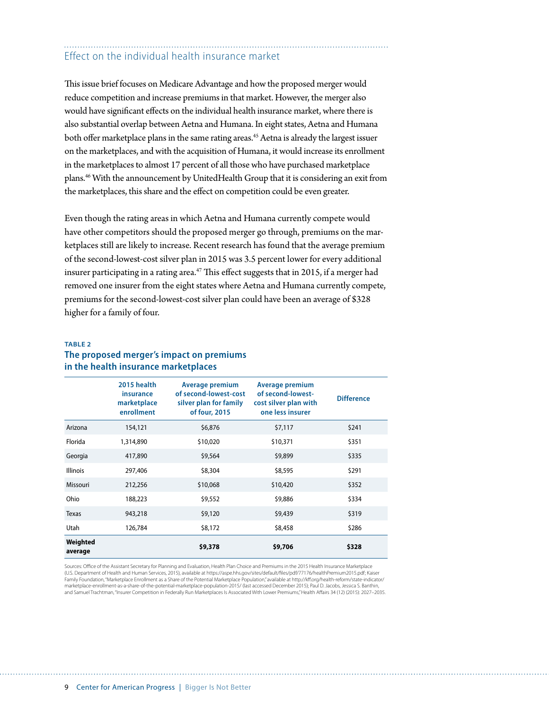# Effect on the individual health insurance market

This issue brief focuses on Medicare Advantage and how the proposed merger would reduce competition and increase premiums in that market. However, the merger also would have significant effects on the individual health insurance market, where there is also substantial overlap between Aetna and Humana. In eight states, Aetna and Humana both offer marketplace plans in the same rating areas.<sup>45</sup> Aetna is already the largest issuer on the marketplaces, and with the acquisition of Humana, it would increase its enrollment in the marketplaces to almost 17 percent of all those who have purchased marketplace plans.46 With the announcement by UnitedHealth Group that it is considering an exit from the marketplaces, this share and the effect on competition could be even greater.

Even though the rating areas in which Aetna and Humana currently compete would have other competitors should the proposed merger go through, premiums on the marketplaces still are likely to increase. Recent research has found that the average premium of the second-lowest-cost silver plan in 2015 was 3.5 percent lower for every additional insurer participating in a rating area.<sup>47</sup> This effect suggests that in 2015, if a merger had removed one insurer from the eight states where Aetna and Humana currently compete, premiums for the second-lowest-cost silver plan could have been an average of \$328 higher for a family of four.

### **TABLE 2 The proposed merger's impact on premiums in the health insurance marketplaces**

|                     | 2015 health<br>insurance<br>marketplace<br>enrollment | Average premium<br>of second-lowest-cost<br>silver plan for family<br>of four, 2015 | Average premium<br>of second-lowest-<br>cost silver plan with<br>one less insurer | <b>Difference</b> |
|---------------------|-------------------------------------------------------|-------------------------------------------------------------------------------------|-----------------------------------------------------------------------------------|-------------------|
| Arizona             | 154,121                                               | \$6,876                                                                             | \$7,117                                                                           | \$241             |
| Florida             | 1,314,890                                             | \$10,020                                                                            | \$10,371                                                                          | \$351             |
| Georgia             | 417,890                                               | \$9,564                                                                             | \$9,899                                                                           | \$335             |
| <b>Illinois</b>     | 297,406                                               | \$8,304                                                                             | \$8,595                                                                           | \$291             |
| Missouri            | 212,256                                               | \$10,068                                                                            | \$10,420                                                                          | \$352             |
| Ohio                | 188,223                                               | \$9,552                                                                             | \$9,886                                                                           | \$334             |
| <b>Texas</b>        | 943,218                                               | \$9,120                                                                             | \$9,439                                                                           | \$319             |
| Utah                | 126,784                                               | \$8,172                                                                             | \$8,458                                                                           | \$286             |
| Weighted<br>average |                                                       | \$9,378                                                                             | \$9,706                                                                           | \$328             |

Sources: Office of the Assistant Secretary for Planning and Evaluation, Health Plan Choice and Premiums in the 2015 Health Insurance Marketplace (U.S. Department of Health and Human Services, 2015), available at https://aspe.hhs.gov/sites/default/files/pdf/77176/healthPremium2015.pdf; Kaiser Family Foundation, "Marketplace Enrollment as a Share of the Potential Marketplace Population," available at http://kff.org/health-reform/state-indicator/ marketplace-enrollment-as-a-share-of-the-potential-marketplace-population-2015/ (last accessed December 2015); Paul D. Jacobs, Jessica S. Banthin, and Samuel Trachtman, "Insurer Competition in Federally Run Marketplaces Is Associated With Lower Premiums," Health Affairs 34 (12) (2015): 2027–2035.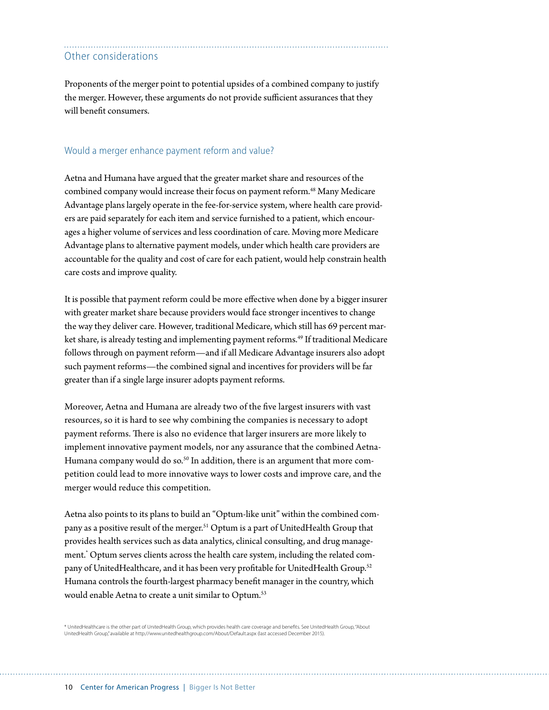# Other considerations

Proponents of the merger point to potential upsides of a combined company to justify the merger. However, these arguments do not provide sufficient assurances that they will benefit consumers.

### Would a merger enhance payment reform and value?

Aetna and Humana have argued that the greater market share and resources of the combined company would increase their focus on payment reform.<sup>48</sup> Many Medicare Advantage plans largely operate in the fee-for-service system, where health care providers are paid separately for each item and service furnished to a patient, which encourages a higher volume of services and less coordination of care. Moving more Medicare Advantage plans to alternative payment models, under which health care providers are accountable for the quality and cost of care for each patient, would help constrain health care costs and improve quality.

It is possible that payment reform could be more effective when done by a bigger insurer with greater market share because providers would face stronger incentives to change the way they deliver care. However, traditional Medicare, which still has 69 percent market share, is already testing and implementing payment reforms.<sup>49</sup> If traditional Medicare follows through on payment reform—and if all Medicare Advantage insurers also adopt such payment reforms—the combined signal and incentives for providers will be far greater than if a single large insurer adopts payment reforms.

Moreover, Aetna and Humana are already two of the five largest insurers with vast resources, so it is hard to see why combining the companies is necessary to adopt payment reforms. There is also no evidence that larger insurers are more likely to implement innovative payment models, nor any assurance that the combined Aetna-Humana company would do so.<sup>50</sup> In addition, there is an argument that more competition could lead to more innovative ways to lower costs and improve care, and the merger would reduce this competition.

Aetna also points to its plans to build an "Optum-like unit" within the combined company as a positive result of the merger.<sup>51</sup> Optum is a part of UnitedHealth Group that provides health services such as data analytics, clinical consulting, and drug management.\* Optum serves clients across the health care system, including the related company of UnitedHealthcare, and it has been very profitable for UnitedHealth Group.52 Humana controls the fourth-largest pharmacy benefit manager in the country, which would enable Aetna to create a unit similar to Optum.<sup>53</sup>

\* UnitedHealthcare is the other part of UnitedHealth Group, which provides health care coverage and benefits. See UnitedHealth Group, "About UnitedHealth Group," available at<http://www.unitedhealthgroup.com/About/Default.aspx> (last accessed December 2015).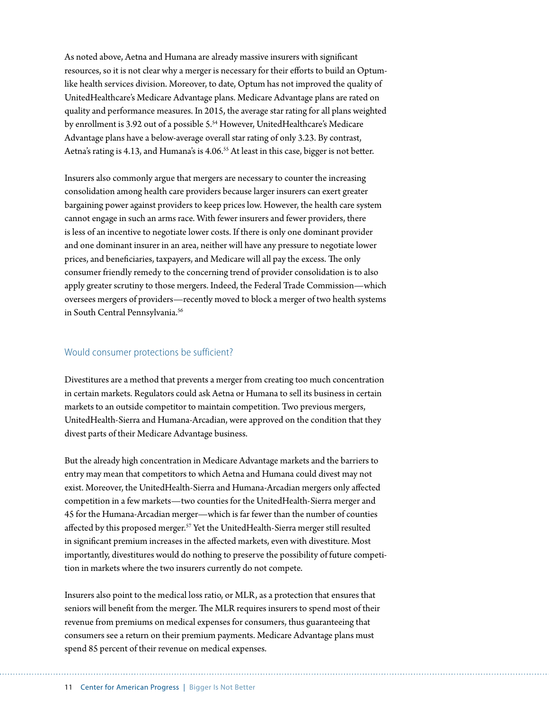As noted above, Aetna and Humana are already massive insurers with significant resources, so it is not clear why a merger is necessary for their efforts to build an Optumlike health services division. Moreover, to date, Optum has not improved the quality of UnitedHealthcare's Medicare Advantage plans. Medicare Advantage plans are rated on quality and performance measures. In 2015, the average star rating for all plans weighted by enrollment is 3.92 out of a possible 5.<sup>54</sup> However, UnitedHealthcare's Medicare Advantage plans have a below-average overall star rating of only 3.23. By contrast, Aetna's rating is 4.13, and Humana's is 4.06.<sup>55</sup> At least in this case, bigger is not better.

Insurers also commonly argue that mergers are necessary to counter the increasing consolidation among health care providers because larger insurers can exert greater bargaining power against providers to keep prices low. However, the health care system cannot engage in such an arms race. With fewer insurers and fewer providers, there is less of an incentive to negotiate lower costs. If there is only one dominant provider and one dominant insurer in an area, neither will have any pressure to negotiate lower prices, and beneficiaries, taxpayers, and Medicare will all pay the excess. The only consumer friendly remedy to the concerning trend of provider consolidation is to also apply greater scrutiny to those mergers. Indeed, the Federal Trade Commission—which oversees mergers of providers—recently moved to block a merger of two health systems in South Central Pennsylvania.<sup>56</sup>

### Would consumer protections be sufficient?

Divestitures are a method that prevents a merger from creating too much concentration in certain markets. Regulators could ask Aetna or Humana to sell its business in certain markets to an outside competitor to maintain competition. Two previous mergers, UnitedHealth-Sierra and Humana-Arcadian, were approved on the condition that they divest parts of their Medicare Advantage business.

But the already high concentration in Medicare Advantage markets and the barriers to entry may mean that competitors to which Aetna and Humana could divest may not exist. Moreover, the UnitedHealth-Sierra and Humana-Arcadian mergers only affected competition in a few markets—two counties for the UnitedHealth-Sierra merger and 45 for the Humana-Arcadian merger—which is far fewer than the number of counties affected by this proposed merger.<sup>57</sup> Yet the UnitedHealth-Sierra merger still resulted in significant premium increases in the affected markets, even with divestiture. Most importantly, divestitures would do nothing to preserve the possibility of future competition in markets where the two insurers currently do not compete.

Insurers also point to the medical loss ratio, or MLR, as a protection that ensures that seniors will benefit from the merger. The MLR requires insurers to spend most of their revenue from premiums on medical expenses for consumers, thus guaranteeing that consumers see a return on their premium payments. Medicare Advantage plans must spend 85 percent of their revenue on medical expenses.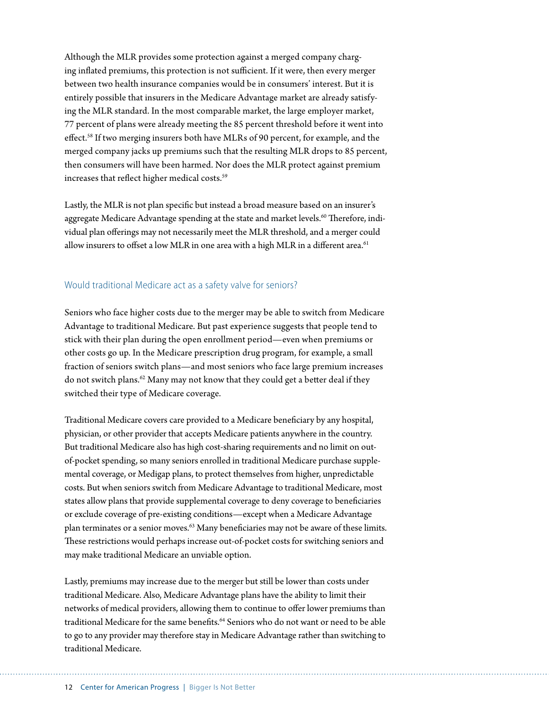Although the MLR provides some protection against a merged company charging inflated premiums, this protection is not sufficient. If it were, then every merger between two health insurance companies would be in consumers' interest. But it is entirely possible that insurers in the Medicare Advantage market are already satisfying the MLR standard. In the most comparable market, the large employer market, 77 percent of plans were already meeting the 85 percent threshold before it went into effect.58 If two merging insurers both have MLRs of 90 percent, for example, and the merged company jacks up premiums such that the resulting MLR drops to 85 percent, then consumers will have been harmed. Nor does the MLR protect against premium increases that reflect higher medical costs.<sup>59</sup>

Lastly, the MLR is not plan specific but instead a broad measure based on an insurer's aggregate Medicare Advantage spending at the state and market levels.<sup>60</sup> Therefore, individual plan offerings may not necessarily meet the MLR threshold, and a merger could allow insurers to offset a low MLR in one area with a high MLR in a different area.<sup>61</sup>

### Would traditional Medicare act as a safety valve for seniors?

Seniors who face higher costs due to the merger may be able to switch from Medicare Advantage to traditional Medicare. But past experience suggests that people tend to stick with their plan during the open enrollment period—even when premiums or other costs go up. In the Medicare prescription drug program, for example, a small fraction of seniors switch plans—and most seniors who face large premium increases do not switch plans.62 Many may not know that they could get a better deal if they switched their type of Medicare coverage.

Traditional Medicare covers care provided to a Medicare beneficiary by any hospital, physician, or other provider that accepts Medicare patients anywhere in the country. But traditional Medicare also has high cost-sharing requirements and no limit on outof-pocket spending, so many seniors enrolled in traditional Medicare purchase supplemental coverage, or Medigap plans, to protect themselves from higher, unpredictable costs. But when seniors switch from Medicare Advantage to traditional Medicare, most states allow plans that provide supplemental coverage to deny coverage to beneficiaries or exclude coverage of pre-existing conditions—except when a Medicare Advantage plan terminates or a senior moves.<sup>63</sup> Many beneficiaries may not be aware of these limits. These restrictions would perhaps increase out-of-pocket costs for switching seniors and may make traditional Medicare an unviable option.

Lastly, premiums may increase due to the merger but still be lower than costs under traditional Medicare. Also, Medicare Advantage plans have the ability to limit their networks of medical providers, allowing them to continue to offer lower premiums than traditional Medicare for the same benefits.<sup>64</sup> Seniors who do not want or need to be able to go to any provider may therefore stay in Medicare Advantage rather than switching to traditional Medicare.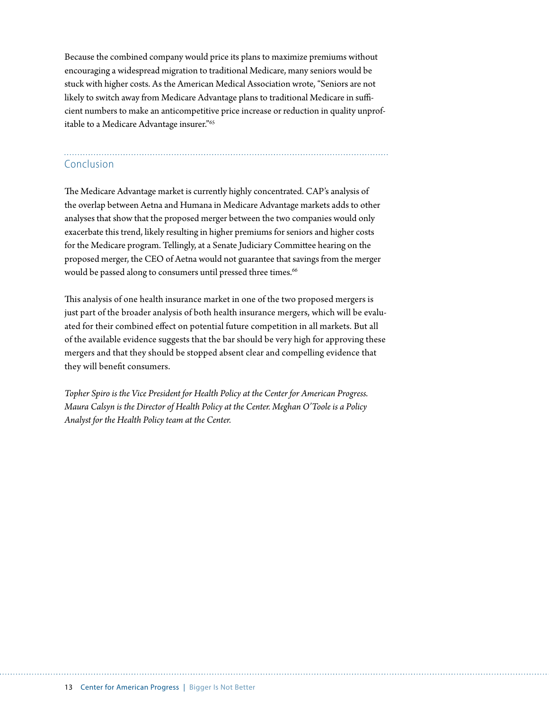Because the combined company would price its plans to maximize premiums without encouraging a widespread migration to traditional Medicare, many seniors would be stuck with higher costs. As the American Medical Association wrote, "Seniors are not likely to switch away from Medicare Advantage plans to traditional Medicare in sufficient numbers to make an anticompetitive price increase or reduction in quality unprofitable to a Medicare Advantage insurer."65

# Conclusion

The Medicare Advantage market is currently highly concentrated. CAP's analysis of the overlap between Aetna and Humana in Medicare Advantage markets adds to other analyses that show that the proposed merger between the two companies would only exacerbate this trend, likely resulting in higher premiums for seniors and higher costs for the Medicare program. Tellingly, at a Senate Judiciary Committee hearing on the proposed merger, the CEO of Aetna would not guarantee that savings from the merger would be passed along to consumers until pressed three times.<sup>66</sup>

This analysis of one health insurance market in one of the two proposed mergers is just part of the broader analysis of both health insurance mergers, which will be evaluated for their combined effect on potential future competition in all markets. But all of the available evidence suggests that the bar should be very high for approving these mergers and that they should be stopped absent clear and compelling evidence that they will benefit consumers.

*Topher Spiro is the Vice President for Health Policy at the Center for American Progress. Maura Calsyn is the Director of Health Policy at the Center. Meghan O'Toole is a Policy Analyst for the Health Policy team at the Center.*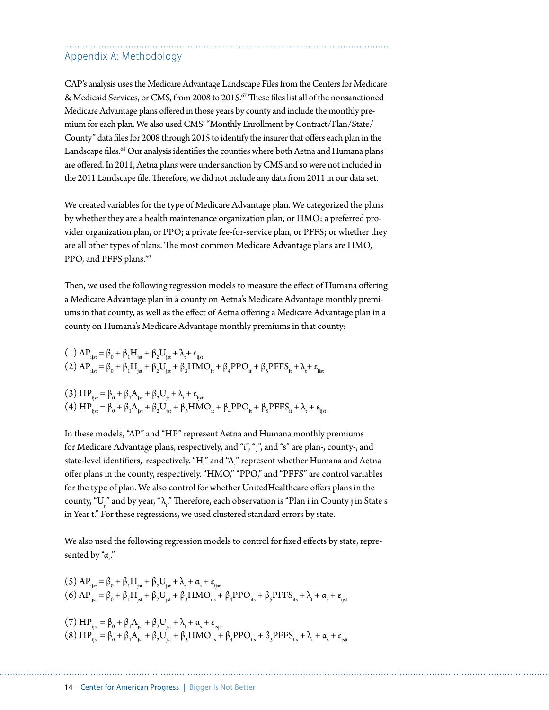# Appendix A: Methodology

CAP's analysis uses the Medicare Advantage Landscape Files from the Centers for Medicare & Medicaid Services, or CMS, from 2008 to 2015.<sup>67</sup> These files list all of the nonsanctioned Medicare Advantage plans offered in those years by county and include the monthly premium for each plan. We also used CMS' "Monthly Enrollment by Contract/Plan/State/ County" data files for 2008 through 2015 to identify the insurer that offers each plan in the Landscape files.<sup>68</sup> Our analysis identifies the counties where both Aetna and Humana plans are offered. In 2011, Aetna plans were under sanction by CMS and so were not included in the 2011 Landscape file. Therefore, we did not include any data from 2011 in our data set.

We created variables for the type of Medicare Advantage plan. We categorized the plans by whether they are a health maintenance organization plan, or HMO; a preferred provider organization plan, or PPO; a private fee-for-service plan, or PFFS; or whether they are all other types of plans. The most common Medicare Advantage plans are HMO, PPO, and PFFS plans.<sup>69</sup>

Then, we used the following regression models to measure the effect of Humana offering a Medicare Advantage plan in a county on Aetna's Medicare Advantage monthly premiums in that county, as well as the effect of Aetna offering a Medicare Advantage plan in a county on Humana's Medicare Advantage monthly premiums in that county:

$$
(1) APijst = \beta0 + \beta1Hjst + \beta2Ujst + \lambdat + \varepsilonijst
$$
  
\n(2) AP<sub>ijst</sub> = \beta<sub>0</sub> + \beta<sub>1</sub>H<sub>jst</sub> + \beta<sub>2</sub>U<sub>jst</sub> + \beta<sub>3</sub>HMO<sub>it</sub> + \beta<sub>4</sub>PPO<sub>it</sub> + \beta<sub>s</sub>PFFS<sub>it</sub> + \lambda<sub>t</sub> + \varepsilon<sub>ijst</sub>  
\n(3) HP<sub>ijst</sub> = \beta<sub>0</sub> + \beta<sub>1</sub>A<sub>jst</sub> + \beta<sub>2</sub>U<sub>jt</sub> + \lambda<sub>t</sub> + \varepsilon<sub>ijst</sub>  
\n(4) HP<sub>ijst</sub> = \beta<sub>0</sub> + \beta<sub>1</sub>A<sub>jst</sub> + \beta<sub>2</sub>U<sub>jst</sub> + \beta<sub>3</sub>HMO<sub>it</sub> + \beta<sub>4</sub>PPO<sub>it</sub> + \beta<sub>s</sub>PFFS<sub>it</sub> + \lambda<sub>t</sub> + \varepsilon<sub>ijst</sub>

In these models, "AP" and "HP" represent Aetna and Humana monthly premiums for Medicare Advantage plans, respectively, and "i", "j", and "s" are plan-, county-, and state-level identifiers, respectively. "H $_{\rm j}$ " and "A $_{\rm j}$ " represent whether Humana and Aetna offer plans in the county, respectively. "HMO," "PPO," and "PFFS" are control variables for the type of plan. We also control for whether UnitedHealthcare offers plans in the county, "U $_{\gamma}$ " and by year, " $\lambda$ ." Therefore, each observation is "Plan i in County j in State s in Year t." For these regressions, we used clustered standard errors by state.

We also used the following regression models to control for fixed effects by state, represented by "α<sub>s</sub>."

$$
(5) APijst = \beta0 + \beta1Hjst + \beta2Ujst + \lambdat + \alphas + \varepsilonijst
$$
  
\n
$$
(6) APijst = \beta0 + \beta1Hjst + \beta2Ujst + \beta3HMOits + \beta4PPOits + \betasPFFSits + \lambdat + \alphas + \varepsilonijst
$$
  
\n
$$
(7) HPijst = \beta0 + \beta1Ajst + \beta2Ujst + \lambdat + \alphas + \varepsilonijst
$$
  
\n
$$
(8) HPijst = \beta0 + \beta1Ajst + \beta2Ujst + \lambdat + \alphas + \varepsilonijst
$$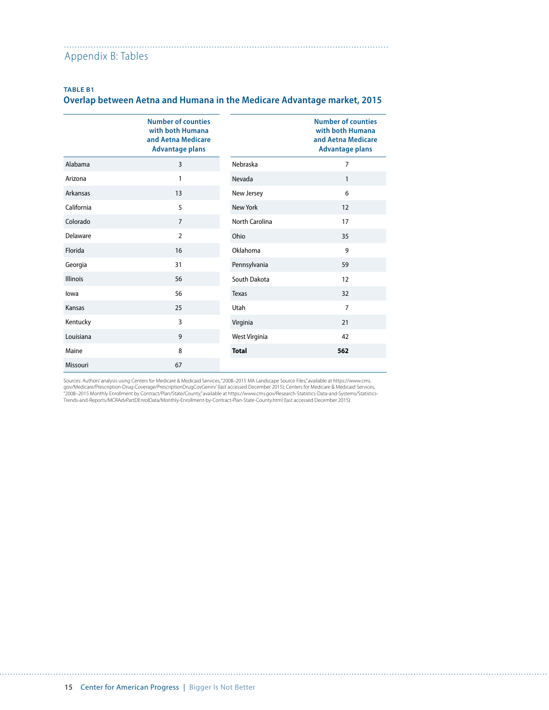#### Appendix B: Tables

### **TABLE B1**

# **Overlap between Aetna and Humana in the Medicare Advantage market, 2015**

|                 | <b>Number of counties</b><br>with both Humana<br>and Aetna Medicare<br><b>Advantage plans</b> |                       | <b>Number of counties</b><br>with both Humana<br>and Aetna Medicare<br><b>Advantage plans</b> |
|-----------------|-----------------------------------------------------------------------------------------------|-----------------------|-----------------------------------------------------------------------------------------------|
| Alabama         | 3                                                                                             | Nebraska              | $\overline{7}$                                                                                |
| Arizona         | 1                                                                                             | Nevada                | $\mathbf{1}$                                                                                  |
| Arkansas        | 13                                                                                            | New Jersey            | 6                                                                                             |
| California      | 5                                                                                             | New York              | 12                                                                                            |
| Colorado        | $\overline{7}$                                                                                | <b>North Carolina</b> | 17                                                                                            |
| Delaware        | $\overline{2}$                                                                                | Ohio                  | 35                                                                                            |
| Florida         | 16                                                                                            | Oklahoma              | 9                                                                                             |
| Georgia         | 31                                                                                            | Pennsylvania          | 59                                                                                            |
| <b>Illinois</b> | 56                                                                                            | South Dakota          | 12                                                                                            |
| lowa            | 56                                                                                            | Texas                 | 32                                                                                            |
| Kansas          | 25                                                                                            | Utah                  | $\overline{7}$                                                                                |
| Kentucky        | 3                                                                                             | Virginia              | 21                                                                                            |
| Louisiana       | 9                                                                                             | West Virginia         | 42                                                                                            |
| Maine           | 8                                                                                             | <b>Total</b>          | 562                                                                                           |
| Missouri        | 67                                                                                            |                       |                                                                                               |

Sources: Authors' analysis using Centers for Medicare & Medicaid Services, "2008–2015 MA Landscape Source Files," available at https://www.cms. gov/Medicare/Prescription-Drug-Coverage/PrescriptionDrugCovGenin/ (last accessed December 2015); Centers for Medicare & Medicaid Services,<br>"2008–2015 Monthly Enrollment by Contract/Plan/State/County," available at https://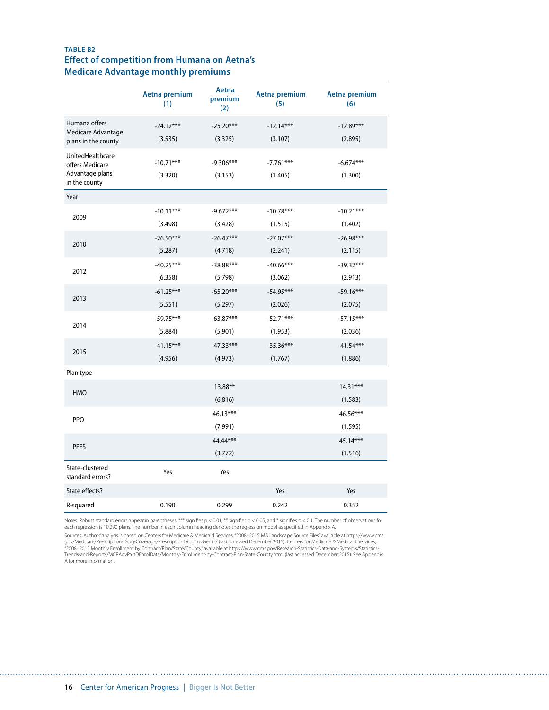# **TABLE B2 Effect of competition from Humana on Aetna's Medicare Advantage monthly premiums**

|                                           | Aetna premium<br>(1) | Aetna<br>premium<br>(2) | Aetna premium<br>(5) | Aetna premium<br>(6) |
|-------------------------------------------|----------------------|-------------------------|----------------------|----------------------|
| Humana offers                             | $-24.12***$          | $-25.20***$             | $-12.14***$          | $-12.89***$          |
| Medicare Advantage<br>plans in the county | (3.535)              | (3.325)                 | (3.107)              | (2.895)              |
| UnitedHealthcare<br>offers Medicare       | $-10.71***$          | $-9.306***$             | $-7.761***$          | $-6.674***$          |
| Advantage plans<br>in the county          | (3.320)              | (3.153)                 | (1.405)              | (1.300)              |
| Year                                      |                      |                         |                      |                      |
|                                           | $-10.11***$          | $-9.672***$             | $-10.78***$          | $-10.21***$          |
| 2009                                      | (3.498)              | (3.428)                 | (1.515)              | (1.402)              |
|                                           | $-26.50***$          | $-26.47***$             | $-27.07***$          | $-26.98***$          |
| 2010                                      | (5.287)              | (4.718)                 | (2.241)              | (2.115)              |
|                                           | $-40.25***$          | $-38.88***$             | $-40.66***$          | $-39.32***$          |
| 2012                                      | (6.358)              | (5.798)                 | (3.062)              | (2.913)              |
| 2013                                      | $-61.25***$          | $-65.20***$             | $-54.95***$          | $-59.16***$          |
|                                           | (5.551)              | (5.297)                 | (2.026)              | (2.075)              |
| 2014                                      | $-59.75***$          | $-63.87***$             | $-52.71***$          | $-57.15***$          |
|                                           | (5.884)              | (5.901)                 | (1.953)              | (2.036)              |
|                                           | $-41.15***$          | $-47.33***$             | $-35.36***$          | $-41.54***$          |
| 2015                                      | (4.956)              | (4.973)                 | (1.767)              | (1.886)              |
| Plan type                                 |                      |                         |                      |                      |
|                                           |                      | 13.88**                 |                      | $14.31***$           |
| HMO                                       |                      | (6.816)                 |                      | (1.583)              |
| PPO                                       |                      | $46.13***$              |                      | 46.56***             |
|                                           |                      | (7.991)                 |                      | (1.595)              |
| <b>PFFS</b>                               |                      | 44.44***                |                      | 45.14***             |
|                                           |                      | (3.772)                 |                      | (1.516)              |
| State-clustered<br>standard errors?       | Yes                  | Yes                     |                      |                      |
| State effects?                            |                      |                         | Yes                  | Yes                  |
| R-squared                                 | 0.190                | 0.299                   | 0.242                | 0.352                |

Notes: Robust standard errors appear in parentheses. \*\*\* signifies p < 0.01, \*\* signifies p < 0.05, and \* signifies p < 0.1. The number of observations for each regression is 10,290 plans. The number in each column heading denotes the regression model as specified in Appendix A.

Sources: Authors' analysis is based on Centers for Medicare & Medicaid Services, "2008–2015 MA Landscape Source Files," available at https://www.cms. gov/Medicare/Prescription-Drug-Coverage/PrescriptionDrugCovGenin/ (last accessed December 2015); Centers for Medicare & Medicaid Services,<br>"2008–2015 Monthly Enrollment by Contract/Plan/State/County," available at https://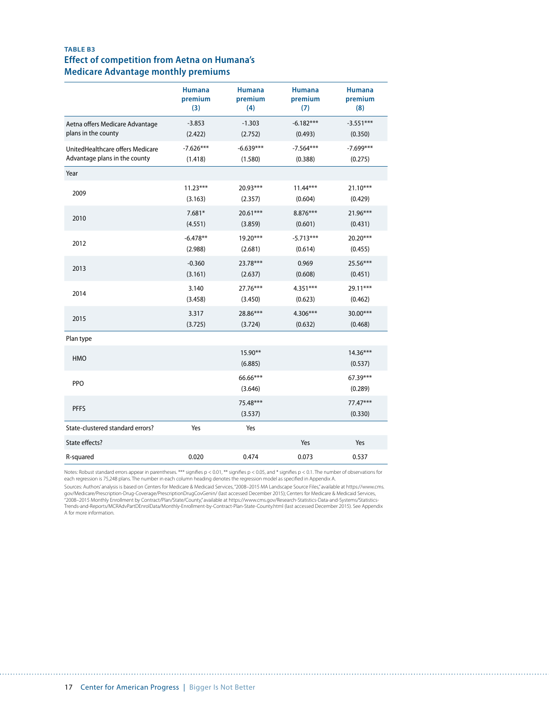# **TABLE B3 Effect of competition from Aetna on Humana's Medicare Advantage monthly premiums**

|                                  | <b>Humana</b> | <b>Humana</b>        | <b>Humana</b> | <b>Humana</b>       |
|----------------------------------|---------------|----------------------|---------------|---------------------|
|                                  | premium       | premium              | premium       | premium             |
|                                  | (3)           | (4)                  | (7)           | (8)                 |
| Aetna offers Medicare Advantage  | $-3.853$      | $-1.303$             | $-6.182***$   | $-3.551***$         |
| plans in the county              | (2.422)       | (2.752)              | (0.493)       | (0.350)             |
| UnitedHealthcare offers Medicare | $-7.626***$   | $-6.639***$          | $-7.564***$   | $-7.699***$         |
| Advantage plans in the county    | (1.418)       | (1.580)              | (0.388)       | (0.275)             |
| Year                             |               |                      |               |                     |
| 2009                             | $11.23***$    | 20.93***             | $11.44***$    | $21.10***$          |
|                                  | (3.163)       | (2.357)              | (0.604)       | (0.429)             |
| 2010                             | $7.681*$      | $20.61***$           | 8.876***      | 21.96***            |
|                                  | (4.551)       | (3.859)              | (0.601)       | (0.431)             |
| 2012                             | $-6.478**$    | 19.20***             | $-5.713***$   | 20.20***            |
|                                  | (2.988)       | (2.681)              | (0.614)       | (0.455)             |
| 2013                             | $-0.360$      | 23.78***             | 0.969         | 25.56***            |
|                                  | (3.161)       | (2.637)              | (0.608)       | (0.451)             |
| 2014                             | 3.140         | $27.76***$           | $4.351***$    | 29.11***            |
|                                  | (3.458)       | (3.450)              | (0.623)       | (0.462)             |
| 2015                             | 3.317         | 28.86***             | $4.306***$    | 30.00***            |
|                                  | (3.725)       | (3.724)              | (0.632)       | (0.468)             |
| Plan type                        |               |                      |               |                     |
| <b>HMO</b>                       |               | $15.90**$<br>(6.885) |               | 14.36***<br>(0.537) |
| <b>PPO</b>                       |               | 66.66***<br>(3.646)  |               | 67.39***<br>(0.289) |
| <b>PFFS</b>                      |               | 75.48***<br>(3.537)  |               | 77.47***<br>(0.330) |
| State-clustered standard errors? | Yes           | Yes                  |               |                     |
| State effects?                   |               |                      | Yes           | Yes                 |
| R-squared                        | 0.020         | 0.474                | 0.073         | 0.537               |

Notes: Robust standard errors appear in parentheses. \*\*\* signifies p < 0.01, \*\* signifies p < 0.05, and \* signifies p < 0.1. The number of observations for each regression is 75,248 plans. The number in each column heading denotes the regression model as specified in Appendix A.

Sources: Authors' analysis is based on Centers for Medicare & Medicaid Services, "2008–2015 MA Landscape Source Files," available at https://www.cms. gov/Medicare/Prescription-Drug-Coverage/PrescriptionDrugCovGenin/ (last accessed December 2015); Centers for Medicare & Medicaid Services,<br>"2008–2015 Monthly Enrollment by Contract/Plan/State/County," available at https:// Trends-and-Reports/MCRAdvPartDEnrolData/Monthly-Enrollment-by-Contract-Plan-State-County.html (last accessed December 2015). See Appendix A for more information.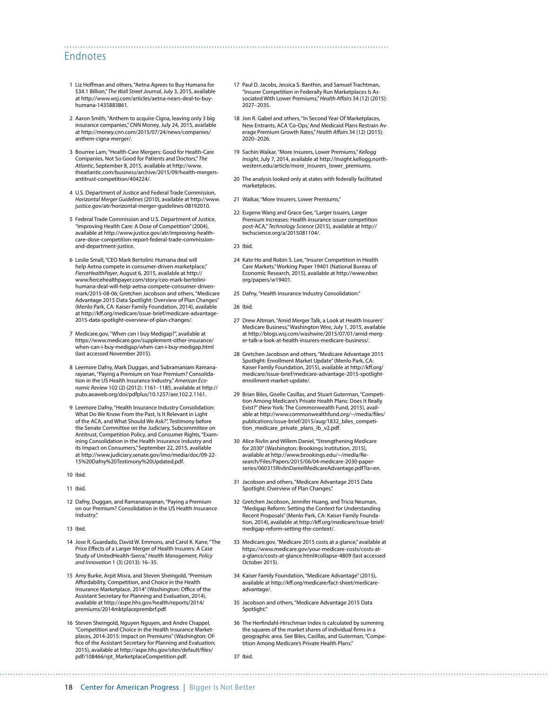# Endnotes

- 1 Liz Hoffman and others, "Aetna Agrees to Buy Humana for \$34.1 Billion," The Wall Street Journal, July 3, 2015, available at [http://www.wsj.com/articles/aetna-nears-deal-to-buy](http://www.wsj.com/articles/aetna-nears-deal-to-buy-humana-1435883861)[humana-1435883861.](http://www.wsj.com/articles/aetna-nears-deal-to-buy-humana-1435883861)
- 2 Aaron Smith, "Anthem to acquire Cigna, leaving only 3 big insurance companies," CNN Money, July 24, 2015, available at [http://money.cnn.com/2015/07/24/news/companies/](http://money.cnn.com/2015/07/24/news/companies/anthem-cigna-merger/) [anthem-cigna-merger/](http://money.cnn.com/2015/07/24/news/companies/anthem-cigna-merger/).
- 3 Bourree Lam, "Health-Care Mergers: Good for Health-Care Companies, Not So Good for Patients and Doctors," *The Atlantic*, September 8, 2015, available at [http://www.](http://www.theatlantic.com/business/archive/2015/09/health-mergers-antitrust-competition/404224/) [theatlantic.com/business/archive/2015/09/health-mergers](http://www.theatlantic.com/business/archive/2015/09/health-mergers-antitrust-competition/404224/)[antitrust-competition/404224/.](http://www.theatlantic.com/business/archive/2015/09/health-mergers-antitrust-competition/404224/)
- 4 U.S. Department of Justice and Federal Trade Commission, *Horizontal Merger Guidelines* (2010), available at [http://www.](http://www.justice.gov/atr/horizontal-merger-guidelines-08192010) [justice.gov/atr/horizontal-merger-guidelines-08192010](http://www.justice.gov/atr/horizontal-merger-guidelines-08192010).
- 5 Federal Trade Commission and U.S. Department of Justice, "Improving Health Care: A Dose of Competition" (2004), available at [http://www.justice.gov/atr/improving-health](http://www.justice.gov/atr/improving-health-care-dose-competition-report-federal-trade-commission-and-department-justice)[care-dose-competition-report-federal-trade-commission](http://www.justice.gov/atr/improving-health-care-dose-competition-report-federal-trade-commission-and-department-justice)[and-department-justice.](http://www.justice.gov/atr/improving-health-care-dose-competition-report-federal-trade-commission-and-department-justice)
- 6 Leslie Small, "CEO Mark Bertolini: Humana deal will help Aetna compete in consumer-driven marketplace," *FierceHealthPayer*, August 6, 2015, available at [http://](http://www.fiercehealthpayer.com/story/ceo-mark-bertolini-humana-deal-will-help-aetna-compete-consumer-driven-mark/2015-08-06) [www.fiercehealthpayer.com/story/ceo-mark-bertolini](http://www.fiercehealthpayer.com/story/ceo-mark-bertolini-humana-deal-will-help-aetna-compete-consumer-driven-mark/2015-08-06)[humana-deal-will-help-aetna-compete-consumer-driven](http://www.fiercehealthpayer.com/story/ceo-mark-bertolini-humana-deal-will-help-aetna-compete-consumer-driven-mark/2015-08-06)[mark/2015-08-06;](http://www.fiercehealthpayer.com/story/ceo-mark-bertolini-humana-deal-will-help-aetna-compete-consumer-driven-mark/2015-08-06) Gretchen Jacobson and others, "Medicare Advantage 2015 Data Spotlight: Overview of Plan Changes" (Menlo Park, CA: Kaiser Family Foundation, 2014), available at [http://kff.org/medicare/issue-brief/medicare-advantage-](http://kff.org/medicare/issue-brief/medicare-advantage-2015-data-spotlight-overview-of-plan-changes/)[2015-data-spotlight-overview-of-plan-changes/](http://kff.org/medicare/issue-brief/medicare-advantage-2015-data-spotlight-overview-of-plan-changes/).
- 7 Medicare.gov, "When can I buy Medigap?", available at [https://www.medicare.gov/supplement-other-insurance/](https://www.medicare.gov/supplement-other-insurance/when-can-i-buy-medigap/when-can-i-buy-medigap.html) [when-can-i-buy-medigap/when-can-i-buy-medigap.html](https://www.medicare.gov/supplement-other-insurance/when-can-i-buy-medigap/when-can-i-buy-medigap.html) (last accessed November 2015).
- 8 Leemore Dafny, Mark Duggan, and Subramaniam Ramanarayanan, "Paying a Premium on Your Premium? Consolidation in the US Health Insurance Industry," *American Economic Review* 102 (2) (2012): 1161–1185, available at [http://](http://pubs.aeaweb.org/doi/pdfplus/10.1257/aer.102.2.1161) [pubs.aeaweb.org/doi/pdfplus/10.1257/aer.102.2.1161](http://pubs.aeaweb.org/doi/pdfplus/10.1257/aer.102.2.1161).
- 9 Leemore Dafny, "Health Insurance Industry Consolidation: What Do We Know From the Past, Is It Relevant in Light of the ACA, and What Should We Ask?", Testimony before the Senate Committee on the Judiciary, Subcommittee on Antitrust, Competition Policy, and Consumer Rights, "Exam-ining Consolidation in the Health Insurance Industry and its Impact on Consumers," September 22, 2015, available at [http://www.judiciary.senate.gov/imo/media/doc/09-22-](http://www.judiciary.senate.gov/imo/media/doc/09-22-15%20Dafny%20Testimony%20Updated.pdf) [15%20Dafny%20Testimony%20Updated.pdf](http://www.judiciary.senate.gov/imo/media/doc/09-22-15%20Dafny%20Testimony%20Updated.pdf).
- 10 Ibid.
- 11 Ibid.
- 12 Dafny, Duggan, and Ramanarayanan, "Paying a Premium on our Premium? Consolidation in the US Health Insurance Industry."
- 13 Ibid.
- 14 Jose R. Guardado, David W. Emmons, and Carol K. Kane, "The Price Effects of a Larger Merger of Health Insurers: A Case Study of UnitedHealth-Sierra," *Health Management, Policy and Innovation* 1 (3) (2013): 16–35.
- 15 Amy Burke, Arpit Misra, and Steven Sheingold, "Premium Affordability, Competition, and Choice in the Health Insurance Marketplace, 2014" (Washington: Office of the Assistant Secretary for Planning and Evaluation, 2014), available at [http://aspe.hhs.gov/health/reports/2014/](http://aspe.hhs.gov/health/reports/2014/premiums/2014mktplaceprembrf.pdf) [premiums/2014mktplaceprembrf.pdf.](http://aspe.hhs.gov/health/reports/2014/premiums/2014mktplaceprembrf.pdf)
- 16 Steven Sheingold, Nguyen Nguyen, and Andre Chappel, "Competition and Choice in the Health Insurance Marketplaces, 2014-2015: Impact on Premiums" (Washington: Office of the Assistant Secretary for Planning and Evaluation, 2015), available at [http://aspe.hhs.gov/sites/default/files/](http://aspe.hhs.gov/sites/default/files/pdf/108466/rpt_MarketplaceCompetition.pdf) [pdf/108466/rpt\\_MarketplaceCompetition.pdf](http://aspe.hhs.gov/sites/default/files/pdf/108466/rpt_MarketplaceCompetition.pdf).
- 17 Paul D. Jacobs, Jessica S. Banthin, and Samuel Trachtman, "Insurer Competition in Federally Run Marketplaces Is Associated With Lower Premiums," *Health Affairs* 34 (12) (2015): 2027–2035.
- 18 Jon R. Gabel and others, "In Second Year Of Marketplaces, New Entrants, ACA 'Co-Ops,' And Medicaid Plans Restrain Average Premium Growth Rates," *Health Affairs* 34 (12) (2015): 2020–2026.
- 19 Sachin Waikar, "More Insurers, Lower Premiums," *Kellogg Insight*,July 7, 2014, available at [http://insight.kellogg.north](http://insight.kellogg.northwestern.edu/article/more_insurers_lower_premiums)[western.edu/article/more\\_insurers\\_lower\\_premiums](http://insight.kellogg.northwestern.edu/article/more_insurers_lower_premiums).
- 20 The analysis looked only at states with federally facilitated marketplaces.
- 21 Waikar, "More Insurers, Lower Premiums."
- 22 Eugene Wang and Grace Gee, "Larger Issuers, Larger Premium Increases: Health insurance issuer competition post-ACA," *Technology Science* (2015), available at [http://](http://techscience.org/a/2015081104/) [techscience.org/a/2015081104/.](http://techscience.org/a/2015081104/)
- 23 Ibid.

- 24 Kate Ho and Robin S. Lee, "Insurer Competition in Health Care Markets." Working Paper 19401 (National Bureau of Economic Research, 2015), available at [http://www.nber.](http://www.nber.org/papers/w19401) [org/papers/w19401](http://www.nber.org/papers/w19401).
- 25 Dafny, "Health Insurance Industry Consolidation."
- 26 Ibid.
- 27 Drew Altman, "Amid Merger Talk, a Look at Health Insurers' Medicare Business," Washington Wire, July 1, 2015, available at [http://blogs.wsj.com/washwire/2015/07/01/amid-merg](http://blogs.wsj.com/washwire/2015/07/01/amid-merger-talk-a-look-at-health-insurers-medicare-business/)[er-talk-a-look-at-health-insurers-medicare-business/](http://blogs.wsj.com/washwire/2015/07/01/amid-merger-talk-a-look-at-health-insurers-medicare-business/).
- 28 Gretchen Jacobson and others, "Medicare Advantage 2015 Spotlight: Enrollment Market Update" (Menlo Park, CA: Kaiser Family Foundation, 2015), available at [http://kff.org/](http://kff.org/medicare/issue-brief/medicare-advantage-2015-spotlight-enrollment-market-update/) [medicare/issue-brief/medicare-advantage-2015-spotlight](http://kff.org/medicare/issue-brief/medicare-advantage-2015-spotlight-enrollment-market-update/)[enrollment-market-update/](http://kff.org/medicare/issue-brief/medicare-advantage-2015-spotlight-enrollment-market-update/).
- 29 Brian Biles, Giselle Casillas, and Stuart Guterman, "Competition Among Medicare's Private Health Plans: Does It Really Exist?" (New York: The Commonwealth Fund, 2015), available at [http://www.commonwealthfund.org/~/media/files/](http://www.commonwealthfund.org/~/media/files/publications/issue-brief/2015/aug/1832_biles_competition_medicare_private_plans_ib_v2.pdf) [publications/issue-brief/2015/aug/1832\\_biles\\_competi](http://www.commonwealthfund.org/~/media/files/publications/issue-brief/2015/aug/1832_biles_competition_medicare_private_plans_ib_v2.pdf)[tion\\_medicare\\_private\\_plans\\_ib\\_v2.pdf](http://www.commonwealthfund.org/~/media/files/publications/issue-brief/2015/aug/1832_biles_competition_medicare_private_plans_ib_v2.pdf).
- 30 Alice Rivlin and Willem Daniel, "Strengthening Medicare for 2030" (Washington: Brookings Institution, 2015), available at [http://www.brookings.edu/~/media/Re](http://www.brookings.edu/~/media/Research/Files/Papers/2015/06/04-medicare-2030-paper-series/060315RivlinDanielMedicareAdvantage.pdf?la=en)[search/Files/Papers/2015/06/04-medicare-2030-paper](http://www.brookings.edu/~/media/Research/Files/Papers/2015/06/04-medicare-2030-paper-series/060315RivlinDanielMedicareAdvantage.pdf?la=en)[series/060315RivlinDanielMedicareAdvantage.pdf?la=en](http://www.brookings.edu/~/media/Research/Files/Papers/2015/06/04-medicare-2030-paper-series/060315RivlinDanielMedicareAdvantage.pdf?la=en).
- 31 Jacobson and others, "Medicare Advantage 2015 Data Spotlight: Overview of Plan Changes."
- 32 Gretchen Jacobson, Jennifer Huang, and Tricia Neuman, "Medigap Reform: Setting the Context for Understanding Recent Proposals" (Menlo Park, CA: Kaiser Family Foundation, 2014), available at [http://kff.org/medicare/issue-brief/](http://kff.org/medicare/issue-brief/medigap-reform-setting-the-context/) [medigap-reform-setting-the-context/](http://kff.org/medicare/issue-brief/medigap-reform-setting-the-context/).
- 33 Medicare.gov, "Medicare 2015 costs at a glance," available at https://www.medicare.gov/your-medicare-costs/costs-ata-glance/costs-at-glance.html#collapse-4809 (last accessed October 2015).
- 34 Kaiser Family Foundation, "Medicare Advantage" (2015), available at [http://kff.org/medicare/fact-sheet/medicare](http://kff.org/medicare/fact-sheet/medicare-advantage/)[advantage/](http://kff.org/medicare/fact-sheet/medicare-advantage/).
- 35 Jacobson and others, "Medicare Advantage 2015 Data Spotlight."
- 36 The Herfindahl-Hirschman Index is calculated by summing the squares of the market shares of individual firms in a geographic area. See Biles, Casillas, and Guterman, "Competition Among Medicare's Private Health Plans."

37 Ibid.